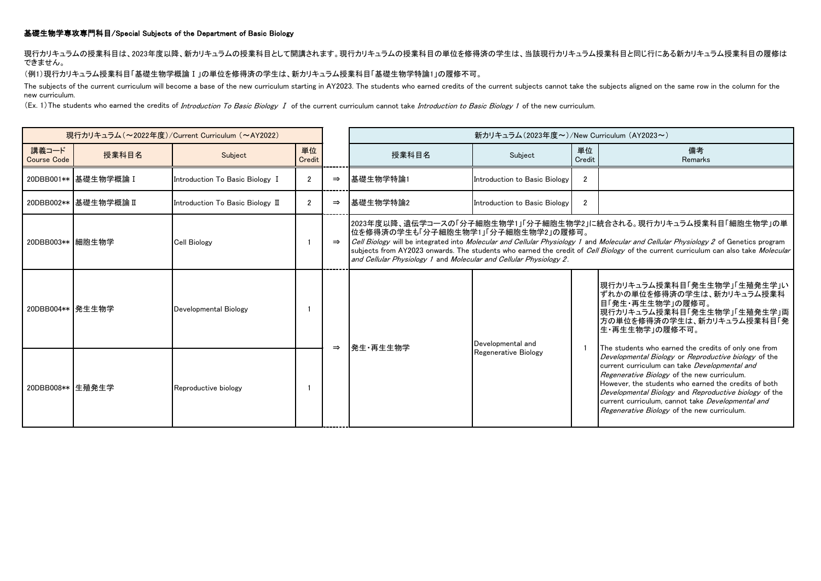# 基礎生物学専攻専門科目/Special Subjects of the Department of Basic Biology

# 現行カリキュラムの授業科目は、2023年度以降、新カリキュラムの授業科目として開講されます。現行カリキュラムの授業科目の単位を修得済の学生は、当該現行カリキュラム授業科目と同じ行にある新カリキュラム授業科目の履修は できません。

## (例1)現行カリキュラム授業科目「基礎生物学概論Ⅰ」の単位を修得済の学生は、新カリキュラム授業科目「基礎生物学特論1」の履修不可。

The subjects of the current curriculum will become a base of the new curriculum starting in AY2023. The students who earned credits of the current subjects cannot take the subjects aligned on the same row in the column for new curriculum.

(Ex. 1) The students who earned the credits of Introduction To Basic Biology I of the current curriculum cannot take Introduction to Basic Biology 1 of the new curriculum.

| 現行カリキュラム (~2022年度)/Current Curriculum (~AY2022) |                        |                                  |                |               | 新カリキュラム(2023年度~)/New Curriculum (AY2023~)                                                                                                                                                                                                                                                                                                                                                                                                                   |                                           |                |                                                                                                                                                                                                                                                                                                                                                                           |
|-------------------------------------------------|------------------------|----------------------------------|----------------|---------------|-------------------------------------------------------------------------------------------------------------------------------------------------------------------------------------------------------------------------------------------------------------------------------------------------------------------------------------------------------------------------------------------------------------------------------------------------------------|-------------------------------------------|----------------|---------------------------------------------------------------------------------------------------------------------------------------------------------------------------------------------------------------------------------------------------------------------------------------------------------------------------------------------------------------------------|
| 講義コード<br>Course Code                            | 授業科目名                  | Subject                          | 単位<br>Credit   |               | 授業科目名                                                                                                                                                                                                                                                                                                                                                                                                                                                       | Subject                                   | 単位<br>Credit   | 備考<br>Remarks                                                                                                                                                                                                                                                                                                                                                             |
|                                                 | 20DBB001** 基礎生物学概論 I   | Introduction To Basic Biology I  | $\overline{2}$ | $\Rightarrow$ | 基礎生物学特論1                                                                                                                                                                                                                                                                                                                                                                                                                                                    | Introduction to Basic Biology             | $\overline{2}$ |                                                                                                                                                                                                                                                                                                                                                                           |
|                                                 | 20DBB002**  基礎生物学概論 II | Introduction To Basic Biology II | $\mathfrak{p}$ | $\Rightarrow$ | 基礎生物学特論2                                                                                                                                                                                                                                                                                                                                                                                                                                                    | Introduction to Basic Biology             | $\overline{2}$ |                                                                                                                                                                                                                                                                                                                                                                           |
| 20DBB003**  細胞生物学                               |                        | <b>Cell Biology</b>              |                | $\Rightarrow$ | 2023年度以降、遺伝学コースの「分子細胞生物学1」「分子細胞生物学2」に統合される。現行カリキュラム授業科目「細胞生物学」の単<br> 位を修得済の学生も「分子細胞生物学1」「分子細胞生物学2」の履修可。<br>Cell Biology will be integrated into Molecular and Cellular Physiology 1 and Molecular and Cellular Physiology 2 of Genetics program<br>subjects from AY2023 onwards. The students who earned the credit of Cell Biology of the current curriculum can also take Molecular<br>and Cellular Physiology 1 and Molecular and Cellular Physiology 2. |                                           |                |                                                                                                                                                                                                                                                                                                                                                                           |
| 20DBB004**  発生生物学                               |                        | Developmental Biology            |                | $\Rightarrow$ | 発生・再生生物学                                                                                                                                                                                                                                                                                                                                                                                                                                                    | Developmental and<br>Regenerative Biology | -1             | 現行カリキュラム授業科目「発生生物学」「生殖発生学」い<br>ずれかの単位を修得済の学生は、新カリキュラム授業科<br>目「発生・再生生物学」の履修可。<br>現行カリキュラム授業科目「発生生物学」「生殖発生学」両<br>方の単位を修得済の学生は、新カリキュラム授業科目「発<br>生・再生生物学」の履修不可。<br>The students who earned the credits of only one from                                                                                                                                                       |
| 20DBB008** 生殖発生学                                |                        | Reproductive biology             |                |               |                                                                                                                                                                                                                                                                                                                                                                                                                                                             |                                           |                | Developmental Biology or Reproductive biology of the<br>current curriculum can take Developmental and<br>Regenerative Biology of the new curriculum.<br>However, the students who earned the credits of both<br>Developmental Biology and Reproductive biology of the<br>current curriculum, cannot take Developmental and<br>Regenerative Biology of the new curriculum. |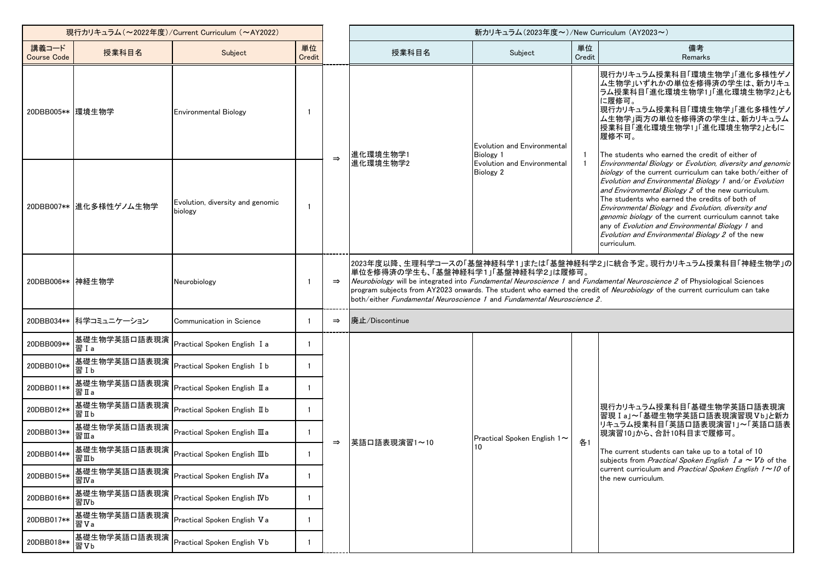| 現行カリキュラム (~2022年度)/Current Curriculum (~AY2022) |                         |                                             |              |               | 新カリキュラム (2023年度~)/New Curriculum (AY2023~)                                                                                                                                                                                                                                                                                                                                                                                                 |                                                                                                    |                                  |                                                                                                                                                                                                                                                                                                                                                                                                                                                                                                                                |  |
|-------------------------------------------------|-------------------------|---------------------------------------------|--------------|---------------|--------------------------------------------------------------------------------------------------------------------------------------------------------------------------------------------------------------------------------------------------------------------------------------------------------------------------------------------------------------------------------------------------------------------------------------------|----------------------------------------------------------------------------------------------------|----------------------------------|--------------------------------------------------------------------------------------------------------------------------------------------------------------------------------------------------------------------------------------------------------------------------------------------------------------------------------------------------------------------------------------------------------------------------------------------------------------------------------------------------------------------------------|--|
| 講義コード<br><b>Course Code</b>                     | 授業科目名                   | Subject                                     | 単位<br>Credit |               | 授業科目名                                                                                                                                                                                                                                                                                                                                                                                                                                      | Subject                                                                                            | 単位<br>Credit                     | 備考<br>Remarks                                                                                                                                                                                                                                                                                                                                                                                                                                                                                                                  |  |
| 20DBB005** 環境生物学                                |                         | <b>Environmental Biology</b>                |              | $\Rightarrow$ | 進化環境生物学1<br>進化環境生物学2                                                                                                                                                                                                                                                                                                                                                                                                                       | Evolution and Environmental<br><b>Biology 1</b><br>Evolution and Environmental<br><b>Biology 2</b> | $\overline{1}$<br>$\overline{1}$ | 現行カリキュラム授業科目「環境生物学」「進化多様性ゲノ<br>ム生物学」いずれかの単位を修得済の学生は、新カリキュ<br> ラム授業科目「進化環境生物学1」「進化環境生物学2」とも<br>に履修可。<br>現行カリキュラム授業科目「環境生物学」「進化多様性ゲノ<br>ム生物学」両方の単位を修得済の学生は、新カリキュラム<br>授業科目「進化環境生物学1」「進化環境生物学2」ともに<br>履修不可。<br>The students who earned the credit of either of                                                                                                                                                                                                                                                                    |  |
|                                                 | 20DBB007**  進化多様性ゲノム生物学 | Evolution, diversity and genomic<br>biology | -1           |               |                                                                                                                                                                                                                                                                                                                                                                                                                                            |                                                                                                    |                                  | Environmental Biology or Evolution, diversity and genomic<br>biology of the current curriculum can take both/either of<br>Evolution and Environmental Biology 1 and/or Evolution<br>and Environmental Biology 2 of the new curriculum.<br>The students who earned the credits of both of<br>Environmental Biology and Evolution, diversity and<br>genomic biology of the current curriculum cannot take<br>any of Evolution and Environmental Biology 1 and<br>Evolution and Environmental Biology 2 of the new<br>curriculum. |  |
| 20DBB006** 神経生物学                                |                         | Neurobiology                                |              | $\Rightarrow$ | 2023年度以降、生理科学コースの「基盤神経科学1」または「基盤神経科学2」に統合予定。現行カリキュラム授業科目「神経生物学」の<br>単位を修得済の学生も、「基盤神経科学1」「基盤神経科学2」は履修可。<br>Neurobiology will be integrated into Fundamental Neuroscience 1 and Fundamental Neuroscience 2 of Physiological Sciences<br>program subjects from AY2023 onwards. The student who earned the credit of Neurobiology of the current curriculum can take<br>both/either Fundamental Neuroscience 1 and Fundamental Neuroscience 2. |                                                                                                    |                                  |                                                                                                                                                                                                                                                                                                                                                                                                                                                                                                                                |  |
|                                                 | 20DBB034** 科学コミュニケーション  | Communication in Science                    |              | $\Rightarrow$ | 廃止/Discontinue                                                                                                                                                                                                                                                                                                                                                                                                                             |                                                                                                    |                                  |                                                                                                                                                                                                                                                                                                                                                                                                                                                                                                                                |  |
| 20DBB009**                                      | 基礎生物学英語口語表現演<br>習 I a   | Practical Spoken English I a                |              |               |                                                                                                                                                                                                                                                                                                                                                                                                                                            |                                                                                                    |                                  |                                                                                                                                                                                                                                                                                                                                                                                                                                                                                                                                |  |
| 20DBB010**                                      | 基礎生物学英語口語表現演<br>習Ib     | Practical Spoken English I b                |              | $\Rightarrow$ | 英語口語表現演習1~10                                                                                                                                                                                                                                                                                                                                                                                                                               | Practical Spoken English 1~                                                                        | 各1                               | 現行カリキュラム授業科目「基礎生物学英語口語表現演<br>習現 I a」~「基礎生物学英語口語表現演習現Vb」と新カ<br>リキュラム授業科目「英語口語表現演習1」~「英語口語表<br>現演習10」から、合計10科目まで履修可。<br>The current students can take up to a total of 10<br>subjects from <i>Practical Spoken English I a</i> $\sim$ <i>Vb</i> of the<br>current curriculum and Practical Spoken English $1 \sim 10$ of<br>the new curriculum.                                                                                                                                                                                  |  |
| 20DBB011**                                      | 基礎生物学英語口語表現演<br>習IIa    | Practical Spoken English II a               | -1           |               |                                                                                                                                                                                                                                                                                                                                                                                                                                            |                                                                                                    |                                  |                                                                                                                                                                                                                                                                                                                                                                                                                                                                                                                                |  |
| 20DBB012**                                      | 基礎生物学英語口語表現演<br>習IIb    | Practical Spoken English II b               |              |               |                                                                                                                                                                                                                                                                                                                                                                                                                                            |                                                                                                    |                                  |                                                                                                                                                                                                                                                                                                                                                                                                                                                                                                                                |  |
| 20DBB013**                                      | 基礎生物学英語口語表現演<br>習Ⅲa     | Practical Spoken English III a              |              |               |                                                                                                                                                                                                                                                                                                                                                                                                                                            |                                                                                                    |                                  |                                                                                                                                                                                                                                                                                                                                                                                                                                                                                                                                |  |
| 20DBB014**                                      | 基礎生物学英語口語表現演<br>習Ⅲb     | Practical Spoken English III b              |              |               |                                                                                                                                                                                                                                                                                                                                                                                                                                            |                                                                                                    |                                  |                                                                                                                                                                                                                                                                                                                                                                                                                                                                                                                                |  |
| 20DBB015**                                      | 基礎生物学英語口語表現演<br>習IVa    | Practical Spoken English IVa                |              |               |                                                                                                                                                                                                                                                                                                                                                                                                                                            |                                                                                                    |                                  |                                                                                                                                                                                                                                                                                                                                                                                                                                                                                                                                |  |
| 20DBB016**                                      | 基礎生物学英語口語表現演<br>習IVb    | Practical Spoken English IVb                |              |               |                                                                                                                                                                                                                                                                                                                                                                                                                                            |                                                                                                    |                                  |                                                                                                                                                                                                                                                                                                                                                                                                                                                                                                                                |  |
| 20DBB017**                                      | 基礎生物学英語口語表現演<br>習Va     | Practical Spoken English Va                 |              |               |                                                                                                                                                                                                                                                                                                                                                                                                                                            |                                                                                                    |                                  |                                                                                                                                                                                                                                                                                                                                                                                                                                                                                                                                |  |
| 20DBB018**                                      | 基礎生物学英語口語表現演<br>習Vb     | Practical Spoken English Vb                 |              |               |                                                                                                                                                                                                                                                                                                                                                                                                                                            |                                                                                                    |                                  |                                                                                                                                                                                                                                                                                                                                                                                                                                                                                                                                |  |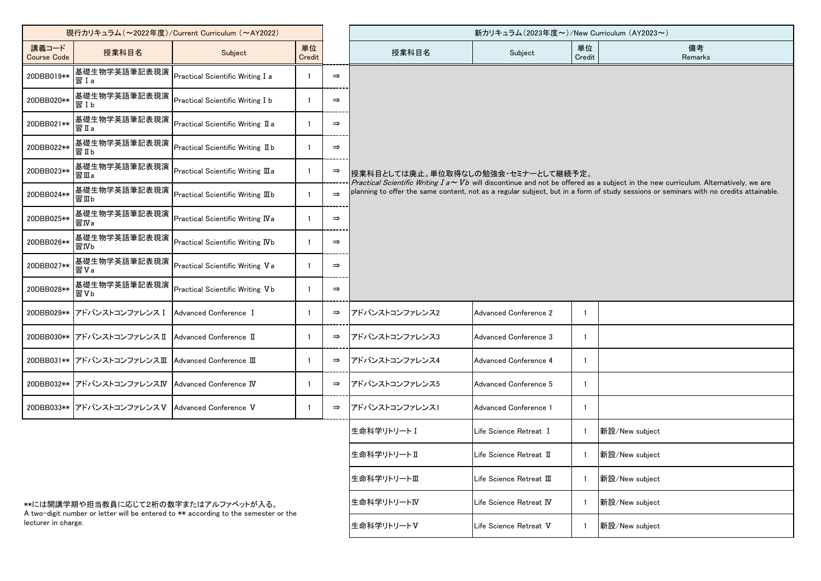| 現行カリキュラム (~2022年度)/Current Curriculum (~AY2022)                                                            |                                                   |                                      |              |               | 新カリキュラム(2023年度~)/New Curriculum (AY2023~)                                                                                                                                                                                                                                                                               |                          |              |                |  |  |
|------------------------------------------------------------------------------------------------------------|---------------------------------------------------|--------------------------------------|--------------|---------------|-------------------------------------------------------------------------------------------------------------------------------------------------------------------------------------------------------------------------------------------------------------------------------------------------------------------------|--------------------------|--------------|----------------|--|--|
| 講義コード<br><b>Course Code</b>                                                                                | 授業科目名                                             | Subject                              | 単位<br>Credit |               | 授業科目名                                                                                                                                                                                                                                                                                                                   | Subject                  | 単位<br>Credit | 備考<br>Remarks  |  |  |
| 20DBB019**                                                                                                 | 基礎生物学英語筆記表現演<br>習Ia                               | Practical Scientific Writing I a     |              | $\Rightarrow$ |                                                                                                                                                                                                                                                                                                                         |                          |              |                |  |  |
| 20DBB020**                                                                                                 | 基礎生物学英語筆記表現演<br>習Ib                               | Practical Scientific Writing I b     |              | $\Rightarrow$ |                                                                                                                                                                                                                                                                                                                         |                          |              |                |  |  |
| 20DBB021**                                                                                                 | 基礎生物学英語筆記表現演<br>習Ia                               | Practical Scientific Writing II a    |              | $\Rightarrow$ |                                                                                                                                                                                                                                                                                                                         |                          |              |                |  |  |
| 20DBB022**                                                                                                 | 基礎生物学英語筆記表現演<br>習IIb                              | Practical Scientific Writing II b    |              | $\Rightarrow$ | 授業科目としては廃止。単位取得なしの勉強会・セミナーとして継続予定。<br>Practical Scientific Writing I a $\sim$ Vb will discontinue and not be offered as a subject in the new curriculum. Alternatively, we are<br>planning to offer the same content, not as a regular subject, but in a form of study sessions or seminars with no credits attainable. |                          |              |                |  |  |
| 20DBB023**                                                                                                 | 基礎生物学英語筆記表現演<br>習Ⅲa                               | Practical Scientific Writing III a   |              | $\Rightarrow$ |                                                                                                                                                                                                                                                                                                                         |                          |              |                |  |  |
| 20DBB024**                                                                                                 | 基礎生物学英語筆記表現演<br>習Ⅲb                               | Practical Scientific Writing III b   |              | $\Rightarrow$ |                                                                                                                                                                                                                                                                                                                         |                          |              |                |  |  |
| 20DBB025**                                                                                                 | 基礎生物学英語筆記表現演<br>習IVa                              | Practical Scientific Writing IVa     |              | $\Rightarrow$ |                                                                                                                                                                                                                                                                                                                         |                          |              |                |  |  |
| 20DBB026**                                                                                                 | 基礎生物学英語筆記表現演<br>習IVb                              | Practical Scientific Writing IVb     |              | $\Rightarrow$ |                                                                                                                                                                                                                                                                                                                         |                          |              |                |  |  |
| 20DBB027**                                                                                                 | 基礎生物学英語筆記表現演<br>習Va                               | Practical Scientific Writing Va      |              | $\Rightarrow$ |                                                                                                                                                                                                                                                                                                                         |                          |              |                |  |  |
| 20DBB028**                                                                                                 | 基礎生物学英語筆記表現演<br>習Vb                               | Practical Scientific Writing Vb      |              | $\Rightarrow$ |                                                                                                                                                                                                                                                                                                                         |                          |              |                |  |  |
|                                                                                                            | 20DBB029** アドバンストコンファレンス I                        | Advanced Conference I                |              | $\Rightarrow$ | アドバンストコンファレンス2                                                                                                                                                                                                                                                                                                          | Advanced Conference 2    | -1           |                |  |  |
|                                                                                                            | 20DBB030** アドバンストコンファレンス II                       | Advanced Conference II               |              | $\Rightarrow$ | アドバンストコンファレンス3                                                                                                                                                                                                                                                                                                          | Advanced Conference 3    |              |                |  |  |
|                                                                                                            | 20DBB031** アドバンストコンファレンスⅢ                         | Advanced Conference III              |              | $\Rightarrow$ | アドバンストコンファレンス4                                                                                                                                                                                                                                                                                                          | Advanced Conference 4    |              |                |  |  |
|                                                                                                            | 20DBB032** アドバンストコンファレンスIV Advanced Conference IV |                                      |              | $\Rightarrow$ | アドバンストコンファレンス5                                                                                                                                                                                                                                                                                                          | Advanced Conference 5    |              |                |  |  |
|                                                                                                            | 20DBB033** アドバンストコンファレンスV Advanced Conference V   |                                      | -1           | $\Rightarrow$ | アドバンストコンファレンス1                                                                                                                                                                                                                                                                                                          | Advanced Conference 1    |              |                |  |  |
|                                                                                                            |                                                   |                                      |              |               | 生命科学リトリート I                                                                                                                                                                                                                                                                                                             | Life Science Retreat I   |              | 新設/New subject |  |  |
|                                                                                                            |                                                   |                                      |              |               | 生命科学リトリートⅡ                                                                                                                                                                                                                                                                                                              | Life Science Retreat II  |              | 新設/New subject |  |  |
|                                                                                                            |                                                   |                                      |              |               | 生命科学リトリートⅢ                                                                                                                                                                                                                                                                                                              | Life Science Retreat III |              | 新設/New subject |  |  |
|                                                                                                            |                                                   | **には開講学期や担当教員に応じて2桁の数字またはアルファベットが入る。 |              |               | 生命科学リトリートIV                                                                                                                                                                                                                                                                                                             | Life Science Retreat IV  |              | 新設/New subject |  |  |
| A two-digit number or letter will be entered to ** according to the semester or the<br>lecturer in charge. |                                                   |                                      |              |               | 生命科学リトリートV                                                                                                                                                                                                                                                                                                              | Life Science Retreat V   |              | 新設/New subject |  |  |